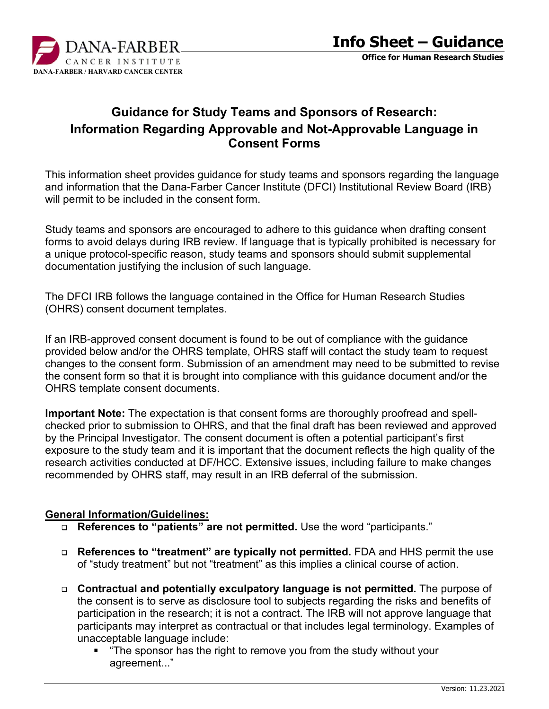

# **Guidance for Study Teams and Sponsors of Research: Information Regarding Approvable and Not-Approvable Language in Consent Forms**

This information sheet provides guidance for study teams and sponsors regarding the language and information that the Dana-Farber Cancer Institute (DFCI) Institutional Review Board (IRB) will permit to be included in the consent form.

Study teams and sponsors are encouraged to adhere to this guidance when drafting consent forms to avoid delays during IRB review. If language that is typically prohibited is necessary for a unique protocol-specific reason, study teams and sponsors should submit supplemental documentation justifying the inclusion of such language.

The DFCI IRB follows the language contained in the Office for Human Research Studies (OHRS) consent document templates.

If an IRB-approved consent document is found to be out of compliance with the guidance provided below and/or the OHRS template, OHRS staff will contact the study team to request changes to the consent form. Submission of an amendment may need to be submitted to revise the consent form so that it is brought into compliance with this guidance document and/or the OHRS template consent documents.

**Important Note:** The expectation is that consent forms are thoroughly proofread and spellchecked prior to submission to OHRS, and that the final draft has been reviewed and approved by the Principal Investigator. The consent document is often a potential participant's first exposure to the study team and it is important that the document reflects the high quality of the research activities conducted at DF/HCC. Extensive issues, including failure to make changes recommended by OHRS staff, may result in an IRB deferral of the submission.

#### **General Information/Guidelines:**

- **References to "patients" are not permitted.** Use the word "participants."
- **References to "treatment" are typically not permitted.** FDA and HHS permit the use of "study treatment" but not "treatment" as this implies a clinical course of action.
- **Contractual and potentially exculpatory language is not permitted.** The purpose of the consent is to serve as disclosure tool to subjects regarding the risks and benefits of participation in the research; it is not a contract. The IRB will not approve language that participants may interpret as contractual or that includes legal terminology. Examples of unacceptable language include:
	- **The sponsor has the right to remove you from the study without your** agreement..."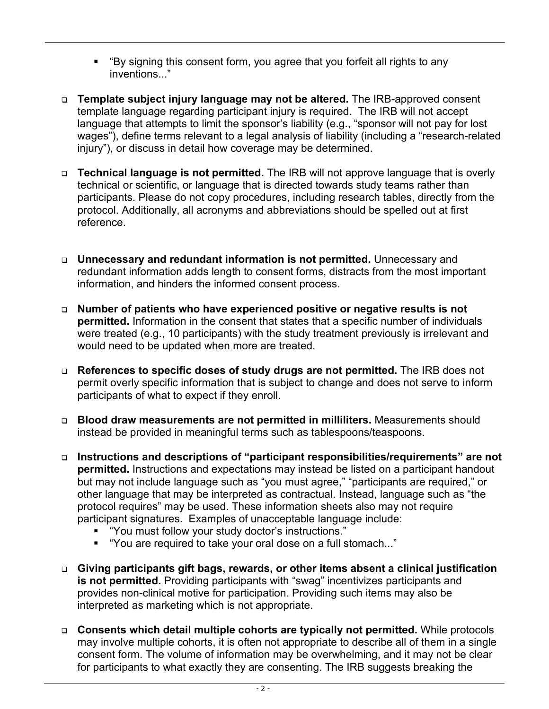- "By signing this consent form, you agree that you forfeit all rights to any inventions..."
- **Template subject injury language may not be altered.** The IRB-approved consent template language regarding participant injury is required. The IRB will not accept language that attempts to limit the sponsor's liability (e.g., "sponsor will not pay for lost wages"), define terms relevant to a legal analysis of liability (including a "research-related injury"), or discuss in detail how coverage may be determined.
- **Technical language is not permitted.** The IRB will not approve language that is overly technical or scientific, or language that is directed towards study teams rather than participants. Please do not copy procedures, including research tables, directly from the protocol. Additionally, all acronyms and abbreviations should be spelled out at first reference.
- **Unnecessary and redundant information is not permitted.** Unnecessary and redundant information adds length to consent forms, distracts from the most important information, and hinders the informed consent process.
- **Number of patients who have experienced positive or negative results is not permitted.** Information in the consent that states that a specific number of individuals were treated (e.g., 10 participants) with the study treatment previously is irrelevant and would need to be updated when more are treated.
- **References to specific doses of study drugs are not permitted.** The IRB does not permit overly specific information that is subject to change and does not serve to inform participants of what to expect if they enroll.
- **Blood draw measurements are not permitted in milliliters.** Measurements should instead be provided in meaningful terms such as tablespoons/teaspoons.
- **Instructions and descriptions of "participant responsibilities/requirements" are not permitted.** Instructions and expectations may instead be listed on a participant handout but may not include language such as "you must agree," "participants are required," or other language that may be interpreted as contractual. Instead, language such as "the protocol requires" may be used. These information sheets also may not require participant signatures. Examples of unacceptable language include:
	- "You must follow your study doctor's instructions."
	- "You are required to take your oral dose on a full stomach..."
- **Giving participants gift bags, rewards, or other items absent a clinical justification is not permitted.** Providing participants with "swag" incentivizes participants and provides non-clinical motive for participation. Providing such items may also be interpreted as marketing which is not appropriate.
- **Consents which detail multiple cohorts are typically not permitted.** While protocols may involve multiple cohorts, it is often not appropriate to describe all of them in a single consent form. The volume of information may be overwhelming, and it may not be clear for participants to what exactly they are consenting. The IRB suggests breaking the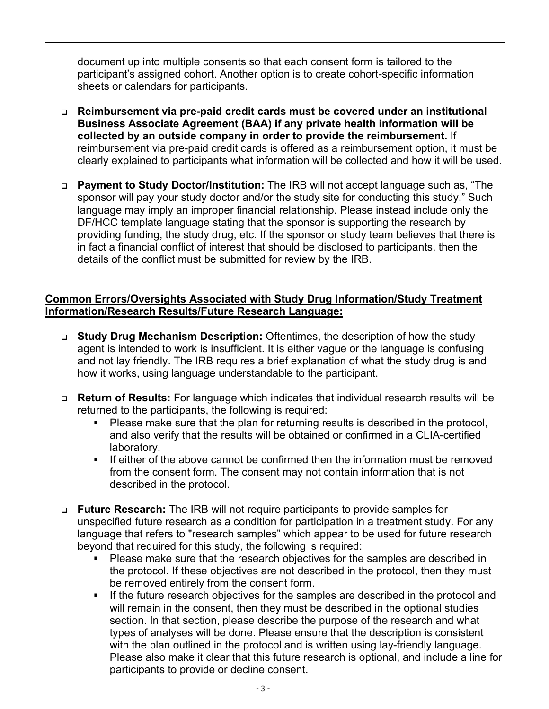document up into multiple consents so that each consent form is tailored to the participant's assigned cohort. Another option is to create cohort-specific information sheets or calendars for participants.

- **Reimbursement via pre-paid credit cards must be covered under an institutional Business Associate Agreement (BAA) if any private health information will be collected by an outside company in order to provide the reimbursement.** If reimbursement via pre-paid credit cards is offered as a reimbursement option, it must be clearly explained to participants what information will be collected and how it will be used.
- **Payment to Study Doctor/Institution:** The IRB will not accept language such as, "The sponsor will pay your study doctor and/or the study site for conducting this study." Such language may imply an improper financial relationship. Please instead include only the DF/HCC template language stating that the sponsor is supporting the research by providing funding, the study drug, etc. If the sponsor or study team believes that there is in fact a financial conflict of interest that should be disclosed to participants, then the details of the conflict must be submitted for review by the IRB.

### **Common Errors/Oversights Associated with Study Drug Information/Study Treatment Information/Research Results/Future Research Language:**

- **Study Drug Mechanism Description:** Oftentimes, the description of how the study agent is intended to work is insufficient. It is either vague or the language is confusing and not lay friendly. The IRB requires a brief explanation of what the study drug is and how it works, using language understandable to the participant.
- **Return of Results:** For language which indicates that individual research results will be returned to the participants, the following is required:
	- Please make sure that the plan for returning results is described in the protocol, and also verify that the results will be obtained or confirmed in a CLIA-certified laboratory.
	- If either of the above cannot be confirmed then the information must be removed from the consent form. The consent may not contain information that is not described in the protocol.
- **Future Research:** The IRB will not require participants to provide samples for unspecified future research as a condition for participation in a treatment study. For any language that refers to "research samples" which appear to be used for future research beyond that required for this study, the following is required:
	- Please make sure that the research objectives for the samples are described in the protocol. If these objectives are not described in the protocol, then they must be removed entirely from the consent form.
	- If the future research objectives for the samples are described in the protocol and will remain in the consent, then they must be described in the optional studies section. In that section, please describe the purpose of the research and what types of analyses will be done. Please ensure that the description is consistent with the plan outlined in the protocol and is written using lay-friendly language. Please also make it clear that this future research is optional, and include a line for participants to provide or decline consent.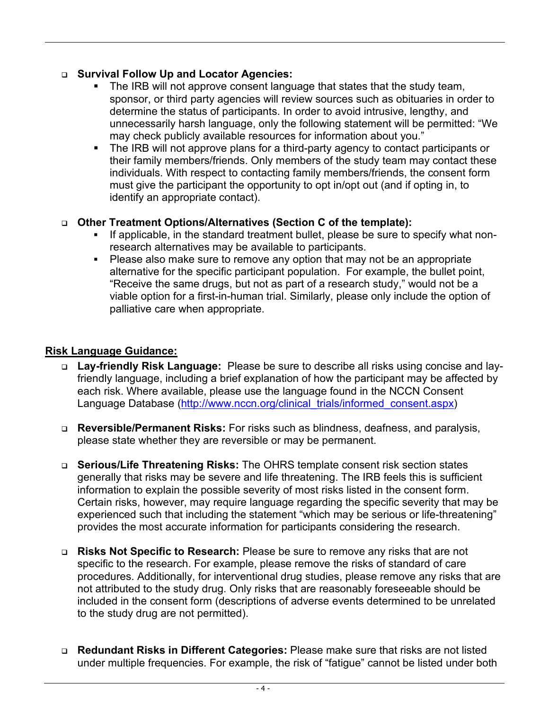# **Survival Follow Up and Locator Agencies:**

- The IRB will not approve consent language that states that the study team, sponsor, or third party agencies will review sources such as obituaries in order to determine the status of participants. In order to avoid intrusive, lengthy, and unnecessarily harsh language, only the following statement will be permitted: "We may check publicly available resources for information about you."
- The IRB will not approve plans for a third-party agency to contact participants or their family members/friends. Only members of the study team may contact these individuals. With respect to contacting family members/friends, the consent form must give the participant the opportunity to opt in/opt out (and if opting in, to identify an appropriate contact).

#### **Other Treatment Options/Alternatives (Section C of the template):**

- If applicable, in the standard treatment bullet, please be sure to specify what nonresearch alternatives may be available to participants.
- Please also make sure to remove any option that may not be an appropriate alternative for the specific participant population. For example, the bullet point, "Receive the same drugs, but not as part of a research study," would not be a viable option for a first-in-human trial. Similarly, please only include the option of palliative care when appropriate.

# **Risk Language Guidance:**

- **Lay-friendly Risk Language:** Please be sure to describe all risks using concise and layfriendly language, including a brief explanation of how the participant may be affected by each risk. Where available, please use the language found in the NCCN Consent Language Database [\(http://www.nccn.org/clinical\\_trials/informed\\_consent.aspx\)](http://www.nccn.org/clinical_trials/informed_consent.aspx)
- **Reversible/Permanent Risks:** For risks such as blindness, deafness, and paralysis, please state whether they are reversible or may be permanent.
- **Serious/Life Threatening Risks:** The OHRS template consent risk section states generally that risks may be severe and life threatening. The IRB feels this is sufficient information to explain the possible severity of most risks listed in the consent form. Certain risks, however, may require language regarding the specific severity that may be experienced such that including the statement "which may be serious or life-threatening" provides the most accurate information for participants considering the research.
- **Risks Not Specific to Research:** Please be sure to remove any risks that are not specific to the research. For example, please remove the risks of standard of care procedures. Additionally, for interventional drug studies, please remove any risks that are not attributed to the study drug. Only risks that are reasonably foreseeable should be included in the consent form (descriptions of adverse events determined to be unrelated to the study drug are not permitted).
- **Redundant Risks in Different Categories:** Please make sure that risks are not listed under multiple frequencies. For example, the risk of "fatigue" cannot be listed under both